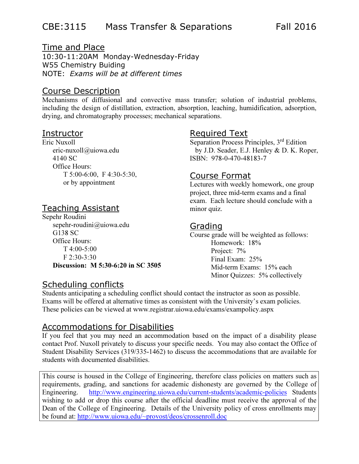## CBE:3115 Mass Transfer & Separations Fall 2016

### Time and Place

10:30-11:20AM Monday-Wednesday-Friday W55 Chemistry Buiding NOTE: Exams will be at different times

### Course Description

Mechanisms of diffusional and convective mass transfer; solution of industrial problems, including the design of distillation, extraction, absorption, leaching, humidification, adsorption, drying, and chromatography processes; mechanical separations.

#### Instructor

Eric Nuxoll eric-nuxoll@uiowa.edu 4140 SC Office Hours: T 5:00-6:00, F 4:30-5:30, or by appointment

## Teaching Assistant

Sepehr Roudini sepehr-roudini@uiowa.edu G138 SC Office Hours: T 4:00-5:00 F 2:30-3:30 Discussion: M 5:30-6:20 in SC 3505

## Scheduling conflicts

## Required Text

Separation Process Principles, 3<sup>rd</sup> Edition by J.D. Seader, E.J. Henley & D. K. Roper, ISBN: 978-0-470-48183-7

#### Course Format

Lectures with weekly homework, one group project, three mid-term exams and a final exam. Each lecture should conclude with a minor quiz.

### Grading

Course grade will be weighted as follows: Homework: 18% Project: 7% Final Exam: 25% Mid-term Exams: 15% each Minor Quizzes: 5% collectively

Students anticipating a scheduling conflict should contact the instructor as soon as possible. Exams will be offered at alternative times as consistent with the University's exam policies. These policies can be viewed at www.registrar.uiowa.edu/exams/exampolicy.aspx

### Accommodations for Disabilities

If you feel that you may need an accommodation based on the impact of a disability please contact Prof. Nuxoll privately to discuss your specific needs. You may also contact the Office of Student Disability Services (319/335-1462) to discuss the accommodations that are available for students with documented disabilities.

This course is housed in the College of Engineering, therefore class policies on matters such as requirements, grading, and sanctions for academic dishonesty are governed by the College of Engineering. http://www.engineering.uiowa.edu/current-students/academic-policies Students wishing to add or drop this course after the official deadline must receive the approval of the Dean of the College of Engineering. Details of the University policy of cross enrollments may be found at: http://www.uiowa.edu/~provost/deos/crossenroll.doc